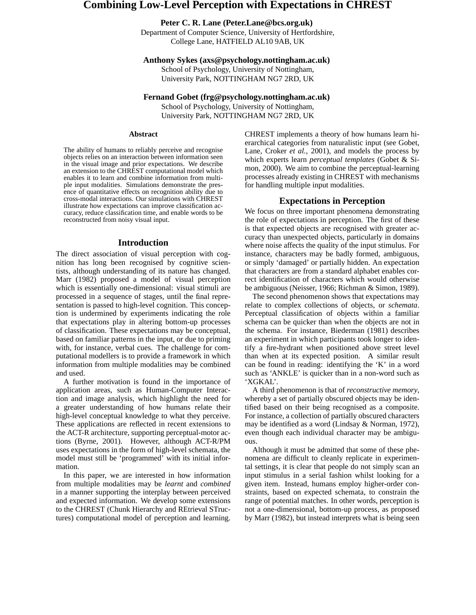# **Combining Low-Level Perception with Expectations in CHREST**

# **Peter C. R. Lane (Peter.Lane@bcs.org.uk)**

Department of Computer Science, University of Hertfordshire, College Lane, HATFIELD AL10 9AB, UK

#### **Anthony Sykes (axs@psychology.nottingham.ac.uk)**

School of Psychology, University of Nottingham, University Park, NOTTINGHAM NG7 2RD, UK

## **Fernand Gobet (frg@psychology.nottingham.ac.uk)**

School of Psychology, University of Nottingham, University Park, NOTTINGHAM NG7 2RD, UK

#### **Abstract**

The ability of humans to reliably perceive and recognise objects relies on an interaction between information seen in the visual image and prior expectations. We describe an extension to the CHREST computational model which enables it to learn and combine information from multiple input modalities. Simulations demonstrate the presence of quantitative effects on recognition ability due to cross-modal interactions. Our simulations with CHREST illustrate how expectations can improve classification accuracy, reduce classification time, and enable words to be reconstructed from noisy visual input.

#### **Introduction**

The direct association of visual perception with cognition has long been recognised by cognitive scientists, although understanding of its nature has changed. Marr (1982) proposed a model of visual perception which is essentially one-dimensional: visual stimuli are processed in a sequence of stages, until the final representation is passed to high-level cognition. This conception is undermined by experiments indicating the role that expectations play in altering bottom-up processes of classification. These expectations may be conceptual, based on familiar patterns in the input, or due to priming with, for instance, verbal cues. The challenge for computational modellers is to provide a framework in which information from multiple modalities may be combined and used.

A further motivation is found in the importance of application areas, such as Human-Computer Interaction and image analysis, which highlight the need for a greater understanding of how humans relate their high-level conceptual knowledge to what they perceive. These applications are reflected in recent extensions to the ACT-R architecture, supporting perceptual-motor actions (Byrne, 2001). However, although ACT-R/PM uses expectations in the form of high-level schemata, the model must still be 'programmed' with its initial information.

In this paper, we are interested in how information from multiple modalities may be *learnt* and *combined* in a manner supporting the interplay between perceived and expected information. We develop some extensions to the CHREST (Chunk Hierarchy and REtrieval STructures) computational model of perception and learning. CHREST implements a theory of how humans learn hierarchical categories from naturalistic input (see Gobet, Lane, Croker *et al.*, 2001), and models the process by which experts learn *perceptual templates* (Gobet & Simon, 2000). We aim to combine the perceptual-learning processes already existing in CHREST with mechanisms for handling multiple input modalities.

# **Expectations in Perception**

We focus on three important phenomena demonstrating the role of expectations in perception. The first of these is that expected objects are recognised with greater accuracy than unexpected objects, particularly in domains where noise affects the quality of the input stimulus. For instance, characters may be badly formed, ambiguous, or simply 'damaged' or partially hidden. An expectation that characters are from a standard alphabet enables correct identification of characters which would otherwise be ambiguous (Neisser, 1966; Richman & Simon, 1989).

The second phenomenon shows that expectations may relate to complex collections of objects, or *schemata*. Perceptual classification of objects within a familiar schema can be quicker than when the objects are not in the schema. For instance, Biederman (1981) describes an experiment in which participants took longer to identify a fire-hydrant when positioned above street level than when at its expected position. A similar result can be found in reading: identifying the 'K' in a word such as 'ANKLE' is quicker than in a non-word such as 'XGKAL'.

A third phenomenon is that of *reconstructive memory*, whereby a set of partially obscured objects may be identified based on their being recognised as a composite. For instance, a collection of partially obscured characters may be identified as a word (Lindsay & Norman, 1972), even though each individual character may be ambiguous.

Although it must be admitted that some of these phenomena are difficult to cleanly replicate in experimental settings, it is clear that people do not simply scan an input stimulus in a serial fashion whilst looking for a given item. Instead, humans employ higher-order constraints, based on expected schemata, to constrain the range of potential matches. In other words, perception is not a one-dimensional, bottom-up process, as proposed by Marr (1982), but instead interprets what is being seen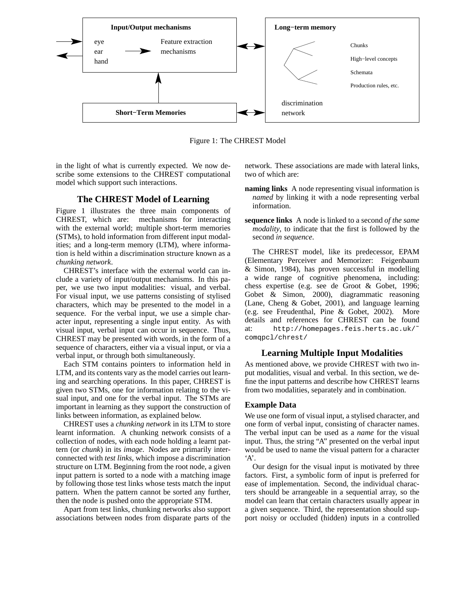

Figure 1: The CHREST Model

in the light of what is currently expected. We now describe some extensions to the CHREST computational model which support such interactions.

# **The CHREST Model of Learning**

Figure 1 illustrates the three main components of CHREST, which are: mechanisms for interacting with the external world; multiple short-term memories (STMs), to hold information from different input modalities; and a long-term memory (LTM), where information is held within a discrimination structure known as a *chunking network*.

CHREST's interface with the external world can include a variety of input/output mechanisms. In this paper, we use two input modalities: visual, and verbal. For visual input, we use patterns consisting of stylised characters, which may be presented to the model in a sequence. For the verbal input, we use a simple character input, representing a single input entity. As with visual input, verbal input can occur in sequence. Thus, CHREST may be presented with words, in the form of a sequence of characters, either via a visual input, or via a verbal input, or through both simultaneously.

Each STM contains pointers to information held in LTM, and its contents vary as the model carries out learning and searching operations. In this paper, CHREST is given two STMs, one for information relating to the visual input, and one for the verbal input. The STMs are important in learning as they support the construction of links between information, as explained below.

CHREST uses a *chunking network* in its LTM to store learnt information. A chunking network consists of a collection of nodes, with each node holding a learnt pattern (or *chunk*) in its *image*. Nodes are primarily interconnected with *test links*, which impose a discrimination structure on LTM. Beginning from the root node, a given input pattern is sorted to a node with a matching image by following those test links whose tests match the input pattern. When the pattern cannot be sorted any further, then the node is pushed onto the appropriate STM.

Apart from test links, chunking networks also support associations between nodes from disparate parts of the network. These associations are made with lateral links, two of which are:

- **naming links** A node representing visual information is *named* by linking it with a node representing verbal information.
- **sequence links** A node is linked to a second *of the same modality*, to indicate that the first is followed by the second *in sequence*.

The CHREST model, like its predecessor, EPAM (Elementary Perceiver and Memorizer: Feigenbaum & Simon, 1984), has proven successful in modelling a wide range of cognitive phenomena, including: chess expertise (e.g. see de Groot & Gobet, 1996; Gobet & Simon, 2000), diagrammatic reasoning (Lane, Cheng & Gobet, 2001), and language learning (e.g. see Freudenthal, Pine & Gobet, 2002). More details and references for CHREST can be found at: http://homepages.feis.herts.ac.uk/˜ comqpcl/chrest/

## **Learning Multiple Input Modalities**

As mentioned above, we provide CHREST with two input modalities, visual and verbal. In this section, we define the input patterns and describe how CHREST learns from two modalities, separately and in combination.

# **Example Data**

We use one form of visual input, a stylised character, and one form of verbal input, consisting of character names. The verbal input can be used as a *name* for the visual input. Thus, the string "A" presented on the verbal input would be used to name the visual pattern for a character  $A$ .

Our design for the visual input is motivated by three factors. First, a symbolic form of input is preferred for ease of implementation. Second, the individual characters should be arrangeable in a sequential array, so the model can learn that certain characters usually appear in a given sequence. Third, the representation should support noisy or occluded (hidden) inputs in a controlled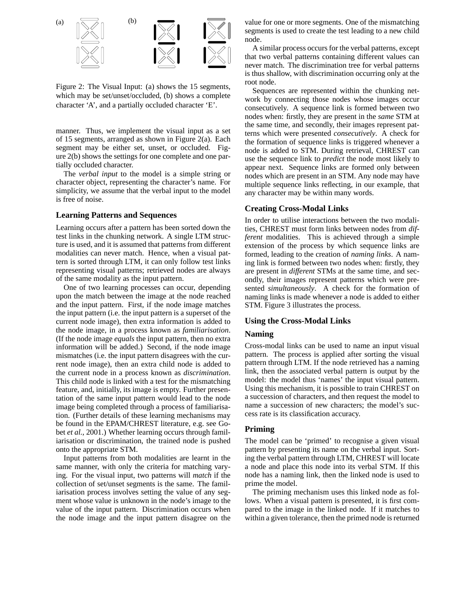

Figure 2: The Visual Input: (a) shows the 15 segments, which may be set/unset/occluded, (b) shows a complete character 'A', and a partially occluded character 'E'.

manner. Thus, we implement the visual input as a set of 15 segments, arranged as shown in Figure 2(a). Each segment may be either set, unset, or occluded. Figure 2(b) shows the settings for one complete and one partially occluded character.

The *verbal input* to the model is a simple string or character object, representing the character's name. For simplicity, we assume that the verbal input to the model is free of noise.

## **Learning Patterns and Sequences**

Learning occurs after a pattern has been sorted down the test links in the chunking network. A single LTM structure is used, and it is assumed that patterns from different modalities can never match. Hence, when a visual pattern is sorted through LTM, it can only follow test links representing visual patterns; retrieved nodes are always of the same modality as the input pattern.

One of two learning processes can occur, depending upon the match between the image at the node reached and the input pattern. First, if the node image matches the input pattern (i.e. the input pattern is a superset of the current node image), then extra information is added to the node image, in a process known as *familiarisation*. (If the node image *equals* the input pattern, then no extra information will be added.) Second, if the node image mismatches (i.e. the input pattern disagrees with the current node image), then an extra child node is added to the current node in a process known as *discrimination*. This child node is linked with a test for the mismatching feature, and, initially, its image is empty. Further presentation of the same input pattern would lead to the node image being completed through a process of familiarisation. (Further details of these learning mechanisms may be found in the EPAM/CHREST literature, e.g. see Gobet *et al.*, 2001.) Whether learning occurs through familiarisation or discrimination, the trained node is pushed onto the appropriate STM.

Input patterns from both modalities are learnt in the same manner, with only the criteria for matching varying. For the visual input, two patterns will *match* if the collection of set/unset segments is the same. The familiarisation process involves setting the value of any segment whose value is unknown in the node's image to the value of the input pattern. Discrimination occurs when the node image and the input pattern disagree on the value for one or more segments. One of the mismatching segments is used to create the test leading to a new child node.

A similar process occursfor the verbal patterns, except that two verbal patterns containing different values can never match. The discrimination tree for verbal patterns is thus shallow, with discrimination occurring only at the root node.

Sequences are represented within the chunking network by connecting those nodes whose images occur consecutively. A sequence link is formed between two nodes when: firstly, they are present in the *same* STM at the same time, and secondly, their images represent patterns which were presented *consecutively*. A check for the formation of sequence links is triggered whenever a node is added to STM. During retrieval, CHREST can use the sequence link to *predict* the node most likely to appear next. Sequence links are formed only between nodes which are present in an STM. Any node may have multiple sequence links reflecting, in our example, that any character may be within many words.

## **Creating Cross-Modal Links**

In order to utilise interactions between the two modalities, CHREST must form links between nodes from *different* modalities. This is achieved through a simple extension of the process by which sequence links are formed, leading to the creation of *naming links*. A naming link is formed between two nodes when: firstly, they are present in *different* STMs at the same time, and secondly, their images represent patterns which were presented *simultaneously*. A check for the formation of naming links is made whenever a node is added to either STM. Figure 3 illustrates the process.

#### **Using the Cross-Modal Links**

#### **Naming**

Cross-modal links can be used to name an input visual pattern. The process is applied after sorting the visual pattern through LTM. If the node retrieved has a naming link, then the associated verbal pattern is output by the model: the model thus 'names' the input visual pattern. Using this mechanism, it is possible to train CHREST on a succession of characters, and then request the model to name a succession of new characters; the model's success rate is its classification accuracy.

#### **Priming**

The model can be 'primed' to recognise a given visual pattern by presenting its name on the verbal input. Sorting the verbal pattern through LTM, CHREST will locate a node and place this node into its verbal STM. If this node has a naming link, then the linked node is used to prime the model.

The priming mechanism uses this linked node as follows. When a visual pattern is presented, it is first compared to the image in the linked node. If it matches to within a given tolerance, then the primed node is returned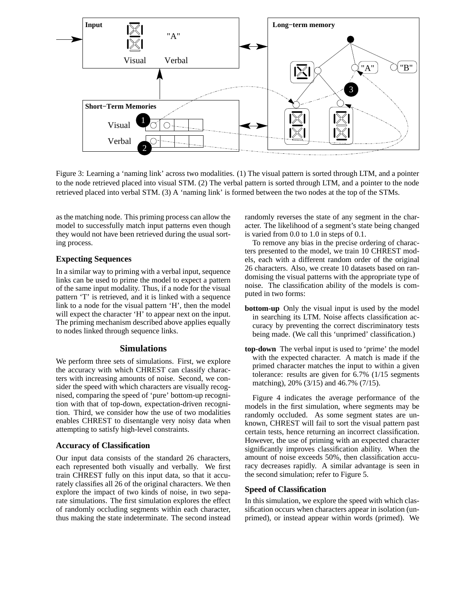

Figure 3: Learning a 'naming link' across two modalities. (1) The visual pattern is sorted through LTM, and a pointer to the node retrieved placed into visual STM. (2) The verbal pattern is sorted through LTM, and a pointer to the node retrieved placed into verbal STM. (3) A 'naming link' is formed between the two nodes at the top of the STMs.

as the matching node. This priming process can allow the model to successfully match input patterns even though they would not have been retrieved during the usual sorting process.

# **Expecting Sequences**

In a similar way to priming with a verbal input, sequence links can be used to prime the model to expect a pattern of the same input modality. Thus, if a node for the visual pattern 'T' is retrieved, and it is linked with a sequence link to a node for the visual pattern 'H', then the model will expect the character 'H' to appear next on the input. The priming mechanism described above applies equally to nodes linked through sequence links.

## **Simulations**

We perform three sets of simulations. First, we explore the accuracy with which CHREST can classify characters with increasing amounts of noise. Second, we consider the speed with which characters are visually recognised, comparing the speed of 'pure' bottom-up recognition with that of top-down, expectation-driven recognition. Third, we consider how the use of two modalities enables CHREST to disentangle very noisy data when attempting to satisfy high-level constraints.

#### **Accuracy of Classification**

Our input data consists of the standard 26 characters, each represented both visually and verbally. We first train CHREST fully on this input data, so that it accurately classifies all 26 of the original characters. We then explore the impact of two kinds of noise, in two separate simulations. The first simulation explores the effect of randomly occluding segments within each character, thus making the state indeterminate. The second instead randomly reverses the state of any segment in the character. The likelihood of a segment's state being changed is varied from 0.0 to 1.0 in steps of 0.1.

To remove any bias in the precise ordering of characters presented to the model, we train 10 CHREST models, each with a different random order of the original 26 characters. Also, we create 10 datasets based on randomising the visual patterns with the appropriate type of noise. The classification ability of the models is computed in two forms:

- **bottom-up** Only the visual input is used by the model in searching its LTM. Noise affects classification accuracy by preventing the correct discriminatory tests being made. (We call this 'unprimed' classification.)
- **top-down** The verbal input is used to 'prime' the model with the expected character. A match is made if the primed character matches the input to within a given tolerance: results are given for 6.7% (1/15 segments matching), 20% (3/15) and 46.7% (7/15).

Figure 4 indicates the average performance of the models in the first simulation, where segments may be randomly occluded. As some segment states are unknown, CHREST will fail to sort the visual pattern past certain tests, hence returning an incorrect classification. However, the use of priming with an expected character significantly improves classification ability. When the amount of noise exceeds 50%, then classification accuracy decreases rapidly. A similar advantage is seen in the second simulation; refer to Figure 5.

## **Speed of Classification**

In this simulation, we explore the speed with which classification occurs when characters appear in isolation (unprimed), or instead appear within words (primed). We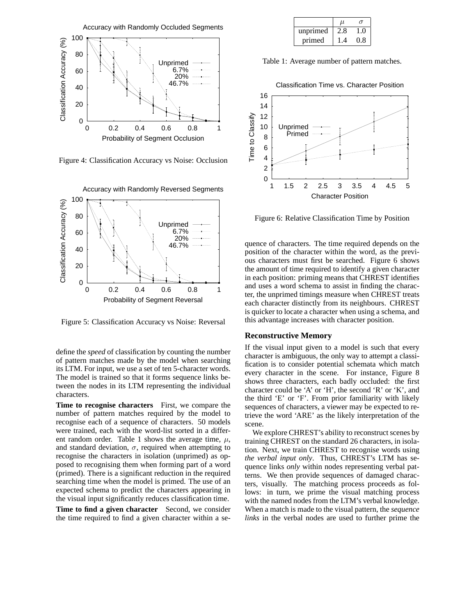

Figure 4: Classification Accuracy vs Noise: Occlusion



Figure 5: Classification Accuracy vs Noise: Reversal

define the *speed* of classification by counting the number of pattern matches made by the model when searching its LTM. For input, we use a set of ten 5-character words. The model is trained so that it forms sequence links between the nodes in its LTM representing the individual characters.

**Time to recognise characters** First, we compare the number of pattern matches required by the model to recognise each of a sequence of characters. 50 models were trained, each with the word-list sorted in a different random order. Table 1 shows the average time,  $\mu$ , and standard deviation,  $\sigma$ , required when attempting to recognise the characters in isolation (unprimed) as opposed to recognising them when forming part of a word (primed). There is a significant reduction in the required searching time when the model is primed. The use of an expected schema to predict the characters appearing in the visual input significantly reduces classification time.

**Time to find a given character** Second, we consider the time required to find a given character within a se-

|          | u   |       |
|----------|-----|-------|
| unprimed | 2.8 | - ( ) |
| primed   | IА  | 0.8   |

Table 1: Average number of pattern matches.



Figure 6: Relative Classification Time by Position

quence of characters. The time required depends on the position of the character within the word, as the previous characters must first be searched. Figure 6 shows the amount of time required to identify a given character in each position: priming means that CHREST identifies and uses a word schema to assist in finding the character, the unprimed timings measure when CHREST treats each character distinctly from its neighbours. CHREST is quicker to locate a character when using a schema, and this advantage increases with character position.

#### **Reconstructive Memory**

If the visual input given to a model is such that every character is ambiguous, the only way to attempt a classification is to consider potential schemata which match every character in the scene. For instance, Figure 8 shows three characters, each badly occluded: the first character could be 'A' or 'H', the second 'R' or 'K', and the third 'E' or 'F'. From prior familiarity with likely sequences of characters, a viewer may be expected to retrieve the word 'ARE' as the likely interpretation of the scene.

We explore CHREST's ability to reconstruct scenes by training CHREST on the standard 26 characters, in isolation. Next, we train CHREST to recognise words using *the verbal input only*. Thus, CHREST's LTM has sequence links *only* within nodes representing verbal patterns. We then provide sequences of damaged characters, visually. The matching process proceeds as follows: in turn, we prime the visual matching process with the named nodes from the LTM's verbal knowledge. When a match is made to the visual pattern, the *sequence links* in the verbal nodes are used to further prime the